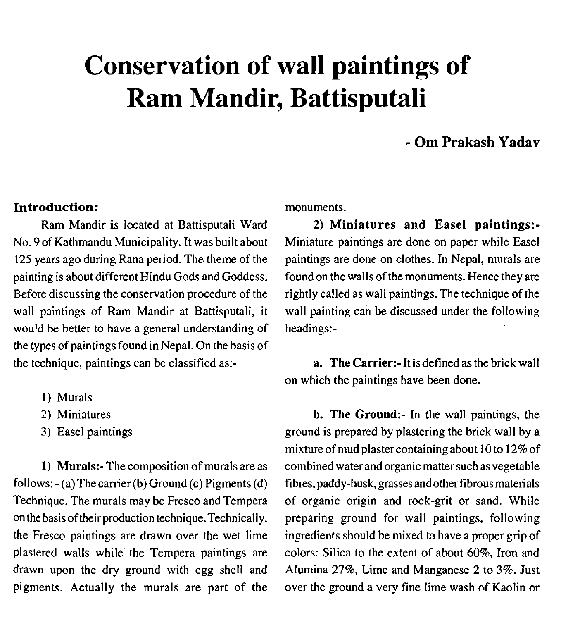# **Conservation of wall paintings of Ram Mandir, Battisputali**

# - **Om Prakash Yadav**

#### **Introduction:**

Ram Mandir is located at Battisputali Ward No. 9 of Kathmandu Municipality. It was built about 125 years ago during Rana period. The theme of the painting is about different Hindu Gods and Goddess. Before discussing the conservation procedure of the wall paintings of Ram Mandir at Battisputali, it would be better to have a general understanding of the types of paintings found in Nepal. On the basis of the technique, paintings can be classified as:-

- 1) Murals
- 2) Miniatures
- **3)** Easel paintings

**1) Murals:-** The composition of murals are as follows: - (a) The carrier (b) Ground (c) Pigments (d) Technique. The murals may be Fresco and Tempera on the basis oftheir production technique.Technically, the Fresco paintings are drawn over the wet lime plastered walls while the Tempera paintings are drawn upon the dry ground with egg shell and pigments. Actually the murals are part of the

monuments.

**2) Miniatures and Easel paintings:-**  Miniature paintings are done on paper while Easel paintings are done on clothes. In Nepal, murals are found on the walls of the monuments. Hence they are rightly called as wall paintings. The technique of the wall painting can be discussed under the following headings:-

**a. The Carrier:-** It is defined as the brick wall on which the paintings have been done.

**b. The Ground:-** In the wall paintings, the ground is prepared by plastering the brick wall by a mixture of mud plaster containing about 10 to 12% of combined water and organic matter such as vegetable fibres, paddy-husk, grasses andother fibrous materials of organic origin and rock-grit or sand. While preparing ground for wall paintings, following ingredients should be mixed to have a proper grip of colors: Silica to the extent of about 60%, Iron and Alumina 27%, Lime and Manganese 2 to **3%.** Just over the ground a very fine lime wash of Kaolin or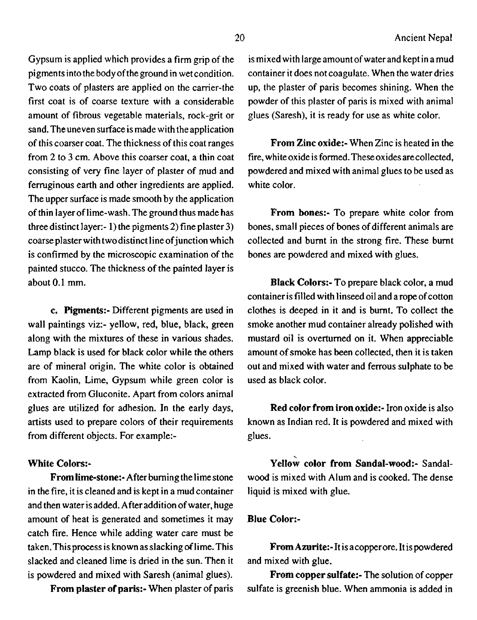Gypsum is applied which provides a firm grip of the pigments intothe body ofthe ground in wet condition. Two coats of plasters are applied on the carrier-the first coat is of coarse texture with a considerable amount of fibrous vegetable materials, rock-grit or sand. The uneven surface is made with the application of this coarser coat. The thickness of this coat ranges from 2 to 3 cm. Above this coarser coat, a thin coat consisting of very fine layer of plaster of mud. and fermginous earth and other ingredients are applied. The upper surface is made smooth by the application of thin layer of lime-wash. The ground thus made has three distinct layer:- 1) the pigments 2) fine plaster 3) coarse plaster with two distinct line of junction which is confirmed by the microscopic examination of the painted stucco. The thickness of the painted layer is about 0.1 mm.

**c. Pigments:-** Different pigments are used in wall paintings viz:- yellow, red, blue, black, green along with the mixtures of these in various shades. Lamp black is used for black color while the others are of mineral origin. The white color is obtained from Kaolin, Lime, Gypsum while green color is extracted from Gluconite. Apart from colors animal glues are utilized for adhesion. In the early days, artists used to prepare colors of their requirements from different objects. For example:-

#### **White Colors:-**

**From lime-stone:-** After burning the lime stone in the fire, it is cleaned and is kept in a mud container and then water is added. After addition of water, huge amount of heat is generated and sometimes it may catch fire. Hence while adding water care must be taken. This process is known as slacking **of** lime. This slacked and cleaned lime is dried in the sun. Then it is powdered and mixed with Saresh (animal glues).

**From plaster of paris:-** When plaster of paris

is mixed with large amount of water and kept in a mud container it does not coagulate. When the water dries up, the plaster of paris becomes shining. When the powder of this plaster of paris is mixed with animal glues (Saresh), it is ready for use as white color.

**From Zinc oxide:-** When Zinc is heated in the fire, white oxide is formed. These oxides are collected, powdered and mixed with animal glues to be used as white color.

**From bones:-** To prepare white color from bones, small pieces of bones of different animals are collected and burnt in the strong fire. These burnt bones are powdered and mixed with glues.

**Black Colors:-** To prepare black color, a mud container is filled with linseed oil and a rope of cotton clothes is deeped in it and is burnt. To collect the smoke another mud container already polished with mustard oil is overturned on it. When appreciable amount of smoke has been collected, then it is taken out and mixed with water and ferrous sulphate to be used as black color.

**Red color from iron oxide:-** Iron oxide is also known as Indian red. It is powdered and mixed with glues.

Yellow color from Sandal-wood:- Sandalwood is mixed with Alum and is cooked. The dense liquid is mixed with glue.

#### **Blue Color:-**

**From Azurite:-** It is acopper ore. It is powdered and mixed with glue.

**From copper sulfate:-** The solution of copper sulfate is greenish blue. When ammonia is added in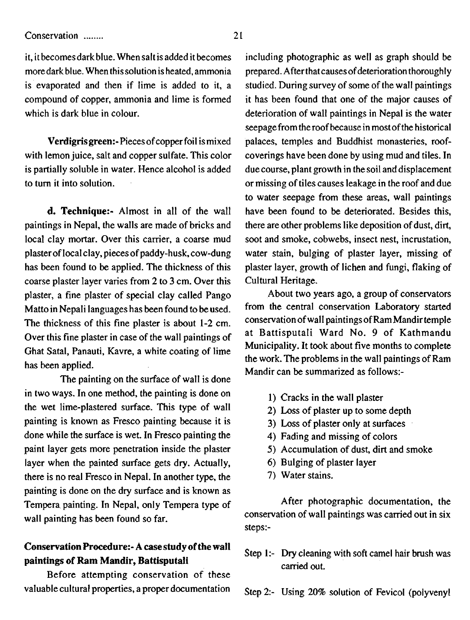#### Conservation ........ 2 1

it, it becomes dark blue. When salt is added it becomes including photographic as well as graph should be moredark blue. When this solution is heated, ammonia is evaporated and then if lime is added to it, a compound of copper, ammonia and lime is formed which is dark blue in colour.

Verdigris green:- Pieces of copper foil is mixed with lemon juice, salt and copper sulfate. This color is partially soluble in water. Hence alcohol is added to turn it into solution.

d. Technique:- Almost in all of the wall paintings in Nepal, the walls are made of bricks and local clay mortar. Over this carrier, a coarse mud plaster of local clay, pieces of paddy-husk, cow-dung has been found to be applied. The thickness of this coarse plaster layer varies from 2 to 3 cm. Over this plaster, a fine plaster of special clay called Pango Matto in Nepali languages has been found to be used. The thickness of this fine plaster is about 1-2 cm. Over this fine plaster in case of the wall paintings of Ghat Satal, Panauti, Kavre, a white coating of lime has been applied.

The painting on the surface of wall is done in two ways. In one method, the painting is done on the wet lime-plastered surface. This type of wall painting is known as Fresco painting because it is done while the surface is wet. In Fresco painting the paint layer gets more penetration inside the plaster layer when the painted surface gets dry. Actually, there is no real Fresco in Nepal. In another type, the painting is done on the dry surface and is known as Tempera painting. In Nepal, only Tempera type of wall painting has been found so far.

## Conservation Procedure:- A **case** study **of** the wall paintings **of** Ram Mandir, Battisputali

Before attempting conservation of these valuable cultural properties, a proper documentation

prepared. After that causes of deterioration thoroughly studied. During survey of some of the wall paintings it has been found that one of the major causes of deterioration of wall paintings in Nepal is the water seepage from the roof because in most of the historical palaces, temples and Buddhist monasteries, roofcoverings have been done by using mud and tiles. In due course, plant growth in the soil and displacement or missing of tiles causes leakage in the roof and due to water seepage from these areas, wall paintings have been found to be deteriorated. Besides this, there are other problems like deposition of dust, dirt, soot and smoke, cobwebs, insect nest, incrustation, water stain, bulging of plaster layer, missing of plaster layer, growth of lichen and fungi, flaking of Cultural Heritage.

About two years ago, a group of conservators from the central conservation Laboratory started conservation of wall paintings of RamMandirtemple at Battisputali Ward No. 9 of Kathmandu Municipality. It took about five months to complete the work. The problems in the wall paintings of Ram Mandir can **be** summarized as follows:-

- 1) Cracks in the wall plaster
- 2) Loss of plaster up to some depth
- 3) Loss of plaster only at surfaces
- 4) Fading and missing of colors
- 5) Accumulation of dust, dirt and smoke
- 6) Bulging of plaster layer
- 7) Water stains.

After photographic documentation, the conservation of wall paintings was carried out in six steps:-

## Step 1:- **Dry** cleaning with soft camel hair brush was carried out.

Step 2:- Using 20% solution of Fevicol (polyvenyl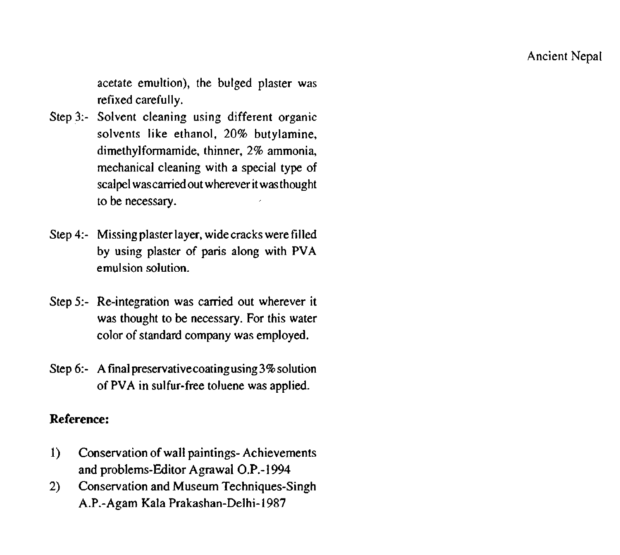acetate emultion), the bulged plaster was refixed carefully.

- Step 3:- Solvent cleaning using different organic solvents like ethanol, 20% butylamine, dimethylformamide, thinner, 2% ammonia, mechanical cleaning with a special type of scalpel was carried out wherever it was thought to be necessary.
- Step 4:- Missing plaster layer, wide cracks were filled by using plaster of paris along with **PVA**  emulsion solution.
- Step 5:- Re-integration was carried out wherever it was thought to be necessary. For this water color of standard company was employed.
- Step 6:- A final **preservativecoatingusing3%solution**  of **PVA** in sulfur-free toluene was applied.

## **Reference:**

- **1)** Conservation of wall paintings- Achievements and problems-Editor Agrawal O.P.-1994
- 2) Conservation and Museum Techniques-Singh A.P.-Agam Kala Prakashan-Delhi-1987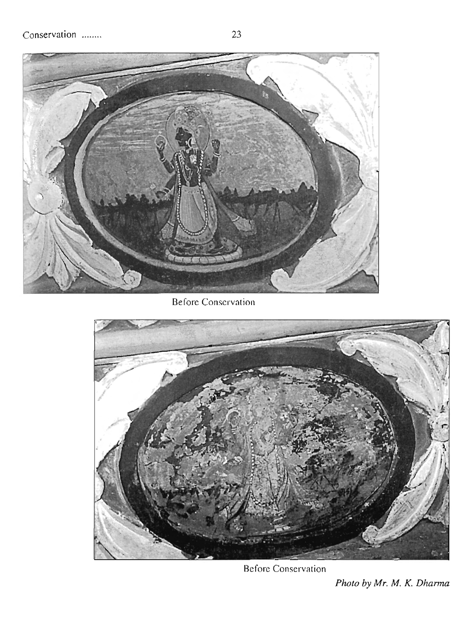

Before Conservation



Before Conservation

*Photo by Mr.* M. *K. Dharma*